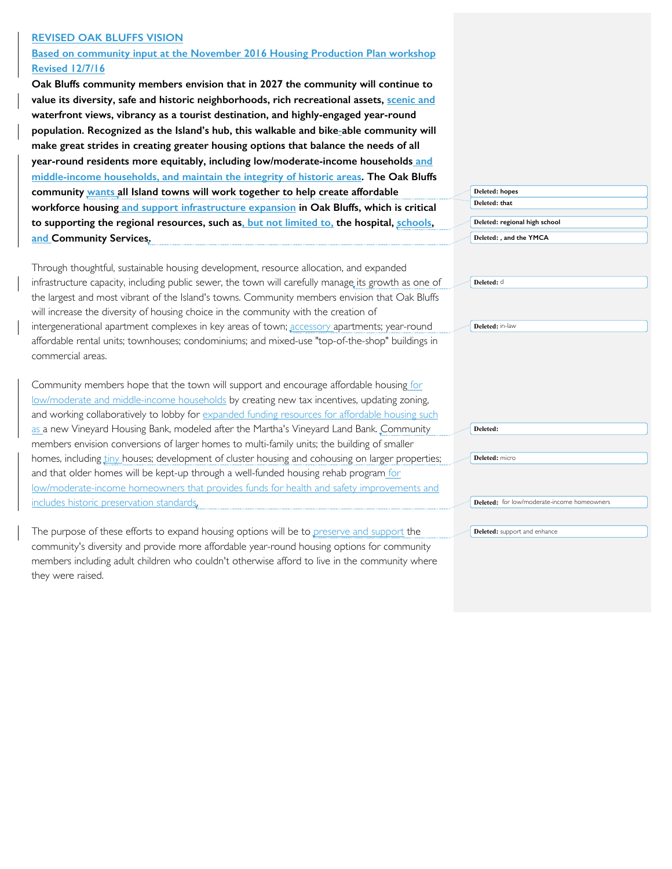## **REVISED OAK BLUFFS VISION**

**Based on community input at the November 2016 Housing Production Plan workshop Revised 12/7/16**

**Oak Bluffs community members envision that in 2027 the community will continue to value its diversity, safe and historic neighborhoods, rich recreational assets, scenic and waterfront views, vibrancy as a tourist destination, and highly-engaged year-round population. Recognized as the Island's hub, this walkable and bike-able community will make great strides in creating greater housing options that balance the needs of all year-round residents more equitably, including low/moderate-income households and middle-income households, and maintain the integrity of historic areas. The Oak Bluffs community wants all Island towns will work together to help create affordable workforce housing and support infrastructure expansion in Oak Bluffs, which is critical to supporting the regional resources, such as, but not limited to, the hospital, schools, and Community Services.**

Through thoughtful, sustainable housing development, resource allocation, and expanded infrastructure capacity, including public sewer, the town will carefully manage its growth as one of the largest and most vibrant of the Island's towns. Community members envision that Oak Bluffs will increase the diversity of housing choice in the community with the creation of intergenerational apartment complexes in key areas of town; accessory apartments; year-round affordable rental units; townhouses; condominiums; and mixed-use "top-of-the-shop" buildings in commercial areas.

Community members hope that the town will support and encourage affordable housing for low/moderate and middle-income households by creating new tax incentives, updating zoning, and working collaboratively to lobby for expanded funding resources for affordable housing such as a new Vineyard Housing Bank, modeled after the Martha's Vineyard Land Bank. Community members envision conversions of larger homes to multi-family units; the building of smaller homes, including tiny houses; development of cluster housing and cohousing on larger properties; and that older homes will be kept-up through a well-funded housing rehab program for low/moderate-income homeowners that provides funds for health and safety improvements and includes historic preservation standards.

The purpose of these efforts to expand housing options will be to preserve and support the community's diversity and provide more affordable year-round housing options for community members including adult children who couldn't otherwise afford to live in the community where they were raised.

| Deleted: hopes                |
|-------------------------------|
| Deleted: that                 |
| Deleted: regional high school |
| Deleted: , and the YMCA       |

**Deleted:** d

**Deleted:** in-law

**Deleted:** micro

**Deleted:** 

**Deleted:** for low/moderate-income homeowners

**Deleted:** support and enhance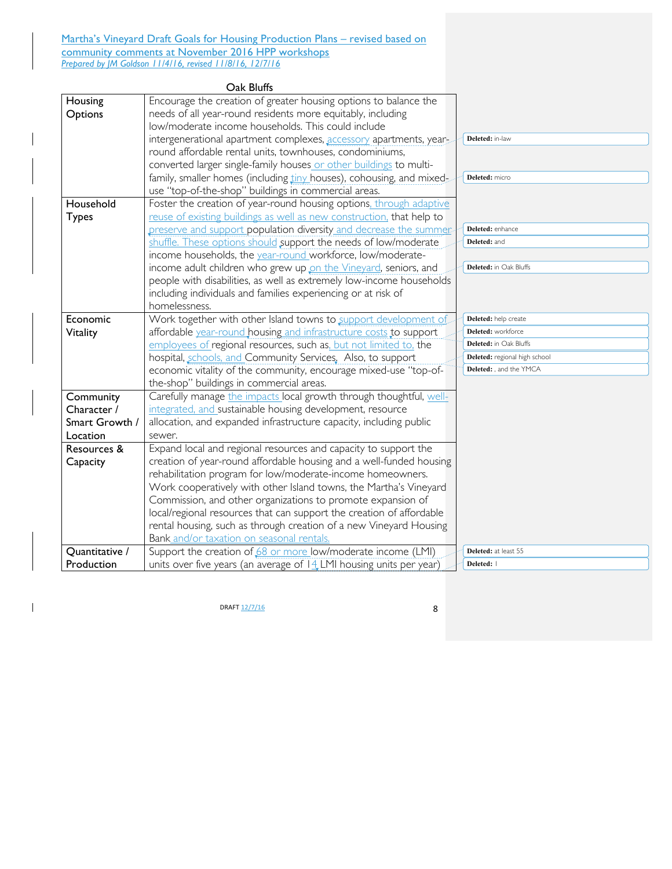Martha's Vineyard Draft Goals for Housing Production Plans - revised based on community comments at November 2016 HPP workshops *Prepared by JM Goldson 11/4/16, revised 11/8/16, 12/7/16*

|                | Oak Bluffs                                                            |                               |
|----------------|-----------------------------------------------------------------------|-------------------------------|
| Housing        | Encourage the creation of greater housing options to balance the      |                               |
| Options        | needs of all year-round residents more equitably, including           |                               |
|                | low/moderate income households. This could include                    |                               |
|                | intergenerational apartment complexes, accessory apartments, year-    | Deleted: in-law               |
|                | round affordable rental units, townhouses, condominiums,              |                               |
|                | converted larger single-family houses or other buildings to multi-    |                               |
|                | family, smaller homes (including tiny houses), cohousing, and mixed-  | Deleted: micro                |
|                | use "top-of-the-shop" buildings in commercial areas.                  |                               |
| Household      | Foster the creation of year-round housing options, through adaptive   |                               |
| <b>Types</b>   | reuse of existing buildings as well as new construction, that help to |                               |
|                | preserve and support population diversity and decrease the summer     | Deleted: enhance              |
|                | shuffle. These options should support the needs of low/moderate       | Deleted: and                  |
|                | income households, the year-round workforce, low/moderate-            |                               |
|                | income adult children who grew up on the Vineyard, seniors, and       | Deleted: in Oak Bluffs        |
|                | people with disabilities, as well as extremely low-income households  |                               |
|                | including individuals and families experiencing or at risk of         |                               |
|                | homelessness.                                                         |                               |
| Economic       | Work together with other Island towns to support development of       | Deleted: help create          |
| Vitality       | affordable year-round housing and infrastructure costs to support     | Deleted: workforce            |
|                | employees of regional resources, such as, but not limited to, the     | Deleted: in Oak Bluffs        |
|                | hospital, schools, and Community Services, Also, to support           | Deleted: regional high school |
|                | economic vitality of the community, encourage mixed-use "top-of-      | Deleted: , and the YMCA       |
|                | the-shop" buildings in commercial areas.                              |                               |
| Community      | Carefully manage the impacts local growth through thoughtful, well-   |                               |
| Character /    | integrated, and sustainable housing development, resource             |                               |
| Smart Growth / | allocation, and expanded infrastructure capacity, including public    |                               |
| Location       | sewer.                                                                |                               |
| Resources &    | Expand local and regional resources and capacity to support the       |                               |
| Capacity       | creation of year-round affordable housing and a well-funded housing   |                               |
|                | rehabilitation program for low/moderate-income homeowners.            |                               |
|                | Work cooperatively with other Island towns, the Martha's Vineyard     |                               |
|                | Commission, and other organizations to promote expansion of           |                               |
|                | local/regional resources that can support the creation of affordable  |                               |
|                | rental housing, such as through creation of a new Vineyard Housing    |                               |
|                | Bank and/or taxation on seasonal rentals.                             |                               |
| Quantitative / | Support the creation of 68 or more low/moderate income (LMI)          | Deleted: at least 55          |
| Production     | units over five years (an average of $14$ LMI housing units per year) | Deleted:                      |

**DRAFT**  $\frac{12/7/16}{ }$  8

 $\mathbf{l}$